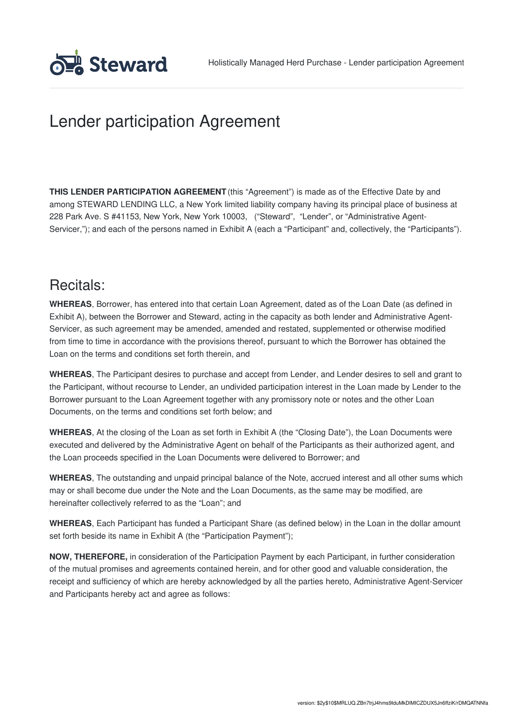

# Lender participation Agreement

**THIS LENDER PARTICIPATION AGREEMENT** (this "Agreement") is made as of the Effective Date by and among STEWARD LENDING LLC, a New York limited liability company having its principal place of business at 228 Park Ave. S #41153, New York, New York 10003, ("Steward", "Lender", or "Administrative Agent-Servicer,"); and each of the persons named in Exhibit A (each a "Participant" and, collectively, the "Participants").

### Recitals:

**WHEREAS**, Borrower, has entered into that certain Loan Agreement, dated as of the Loan Date (as defined in Exhibit A), between the Borrower and Steward, acting in the capacity as both lender and Administrative Agent-Servicer, as such agreement may be amended, amended and restated, supplemented or otherwise modified from time to time in accordance with the provisions thereof, pursuant to which the Borrower has obtained the Loan on the terms and conditions set forth therein, and

**WHEREAS**, The Participant desires to purchase and accept from Lender, and Lender desires to sell and grant to the Participant, without recourse to Lender, an undivided participation interest in the Loan made by Lender to the Borrower pursuant to the Loan Agreement together with any promissory note or notes and the other Loan Documents, on the terms and conditions set forth below; and

**WHEREAS**, At the closing of the Loan as set forth in Exhibit A (the "Closing Date"), the Loan Documents were executed and delivered by the Administrative Agent on behalf of the Participants as their authorized agent, and the Loan proceeds specified in the Loan Documents were delivered to Borrower; and

**WHEREAS**, The outstanding and unpaid principal balance of the Note, accrued interest and all other sums which may or shall become due under the Note and the Loan Documents, as the same may be modified, are hereinafter collectively referred to as the "Loan"; and

**WHEREAS**, Each Participant has funded a Participant Share (as defined below) in the Loan in the dollar amount set forth beside its name in Exhibit A (the "Participation Payment");

**NOW, THEREFORE,** in consideration of the Participation Payment by each Participant, in further consideration of the mutual promises and agreements contained herein, and for other good and valuable consideration, the receipt and sufficiency of which are hereby acknowledged by all the parties hereto, Administrative Agent-Servicer and Participants hereby act and agree as follows: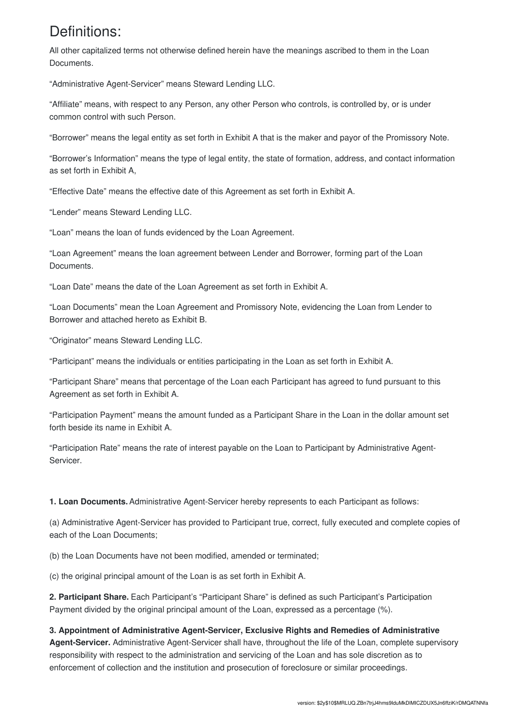### Definitions:

All other capitalized terms not otherwise defined herein have the meanings ascribed to them in the Loan Documents.

"Administrative Agent-Servicer" means Steward Lending LLC.

"Affiliate" means, with respect to any Person, any other Person who controls, is controlled by, or is under common control with such Person.

"Borrower" means the legal entity as set forth in Exhibit A that is the maker and payor of the Promissory Note.

"Borrower's Information" means the type of legal entity, the state of formation, address, and contact information as set forth in Exhibit A,

"Effective Date" means the effective date of this Agreement as set forth in Exhibit A.

"Lender" means Steward Lending LLC.

"Loan" means the loan of funds evidenced by the Loan Agreement.

"Loan Agreement" means the loan agreement between Lender and Borrower, forming part of the Loan Documents.

"Loan Date" means the date of the Loan Agreement as set forth in Exhibit A.

"Loan Documents" mean the Loan Agreement and Promissory Note, evidencing the Loan from Lender to Borrower and attached hereto as Exhibit B.

"Originator" means Steward Lending LLC.

"Participant" means the individuals or entities participating in the Loan as set forth in Exhibit A.

"Participant Share" means that percentage of the Loan each Participant has agreed to fund pursuant to this Agreement as set forth in Exhibit A.

"Participation Payment" means the amount funded as a Participant Share in the Loan in the dollar amount set forth beside its name in Exhibit A.

"Participation Rate" means the rate of interest payable on the Loan to Participant by Administrative Agent-Servicer.

**1. Loan Documents.**Administrative Agent-Servicer hereby represents to each Participant as follows:

(a) Administrative Agent-Servicer has provided to Participant true, correct, fully executed and complete copies of each of the Loan Documents;

(b) the Loan Documents have not been modified, amended or terminated;

(c) the original principal amount of the Loan is as set forth in Exhibit A.

**2. Participant Share.** Each Participant's "Participant Share" is defined as such Participant's Participation Payment divided by the original principal amount of the Loan, expressed as a percentage (%).

#### **3. Appointment of Administrative Agent-Servicer, Exclusive Rights and Remedies of Administrative**

**Agent-Servicer.** Administrative Agent-Servicer shall have, throughout the life of the Loan, complete supervisory responsibility with respect to the administration and servicing of the Loan and has sole discretion as to enforcement of collection and the institution and prosecution of foreclosure or similar proceedings.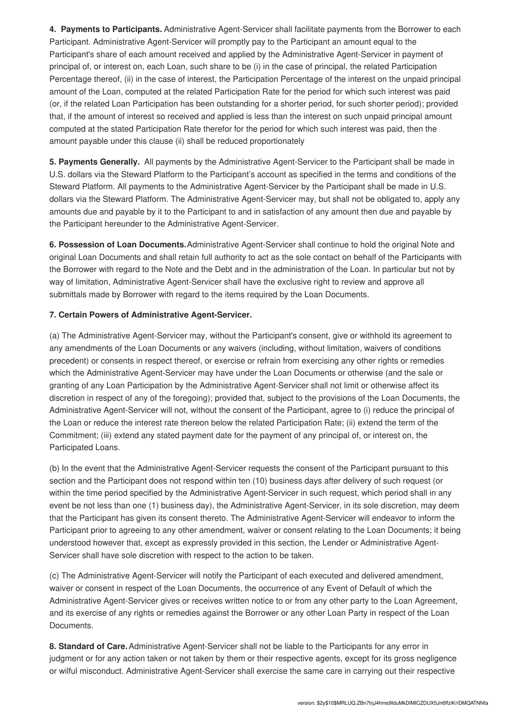**4. Payments to Participants.** Administrative Agent-Servicer shall facilitate payments from the Borrower to each Participant. Administrative Agent-Servicer will promptly pay to the Participant an amount equal to the Participant's share of each amount received and applied by the Administrative Agent-Servicer in payment of principal of, or interest on, each Loan, such share to be (i) in the case of principal, the related Participation Percentage thereof, (ii) in the case of interest, the Participation Percentage of the interest on the unpaid principal amount of the Loan, computed at the related Participation Rate for the period for which such interest was paid (or, if the related Loan Participation has been outstanding for a shorter period, for such shorter period); provided that, if the amount of interest so received and applied is less than the interest on such unpaid principal amount computed at the stated Participation Rate therefor for the period for which such interest was paid, then the amount payable under this clause (ii) shall be reduced proportionately

**5. Payments Generally.** All payments by the Administrative Agent-Servicer to the Participant shall be made in U.S. dollars via the Steward Platform to the Participant's account as specified in the terms and conditions of the Steward Platform. All payments to the Administrative Agent-Servicer by the Participant shall be made in U.S. dollars via the Steward Platform. The Administrative Agent-Servicer may, but shall not be obligated to, apply any amounts due and payable by it to the Participant to and in satisfaction of any amount then due and payable by the Participant hereunder to the Administrative Agent-Servicer.

**6. Possession of Loan Documents.**Administrative Agent-Servicer shall continue to hold the original Note and original Loan Documents and shall retain full authority to act as the sole contact on behalf of the Participants with the Borrower with regard to the Note and the Debt and in the administration of the Loan. In particular but not by way of limitation, Administrative Agent-Servicer shall have the exclusive right to review and approve all submittals made by Borrower with regard to the items required by the Loan Documents.

#### **7. Certain Powers of Administrative Agent-Servicer.**

(a) The Administrative Agent-Servicer may, without the Participant's consent, give or withhold its agreement to any amendments of the Loan Documents or any waivers (including, without limitation, waivers of conditions precedent) or consents in respect thereof, or exercise or refrain from exercising any other rights or remedies which the Administrative Agent-Servicer may have under the Loan Documents or otherwise (and the sale or granting of any Loan Participation by the Administrative Agent-Servicer shall not limit or otherwise affect its discretion in respect of any of the foregoing); provided that, subject to the provisions of the Loan Documents, the Administrative Agent-Servicer will not, without the consent of the Participant, agree to (i) reduce the principal of the Loan or reduce the interest rate thereon below the related Participation Rate; (ii) extend the term of the Commitment; (iii) extend any stated payment date for the payment of any principal of, or interest on, the Participated Loans.

(b) In the event that the Administrative Agent-Servicer requests the consent of the Participant pursuant to this section and the Participant does not respond within ten (10) business days after delivery of such request (or within the time period specified by the Administrative Agent-Servicer in such request, which period shall in any event be not less than one (1) business day), the Administrative Agent-Servicer, in its sole discretion, may deem that the Participant has given its consent thereto. The Administrative Agent-Servicer will endeavor to inform the Participant prior to agreeing to any other amendment, waiver or consent relating to the Loan Documents; it being understood however that, except as expressly provided in this section, the Lender or Administrative Agent-Servicer shall have sole discretion with respect to the action to be taken.

(c) The Administrative Agent-Servicer will notify the Participant of each executed and delivered amendment, waiver or consent in respect of the Loan Documents, the occurrence of any Event of Default of which the Administrative Agent-Servicer gives or receives written notice to or from any other party to the Loan Agreement, and its exercise of any rights or remedies against the Borrower or any other Loan Party in respect of the Loan Documents.

**8. Standard of Care.**Administrative Agent-Servicer shall not be liable to the Participants for any error in judgment or for any action taken or not taken by them or their respective agents, except for its gross negligence or wilful misconduct. Administrative Agent-Servicer shall exercise the same care in carrying out their respective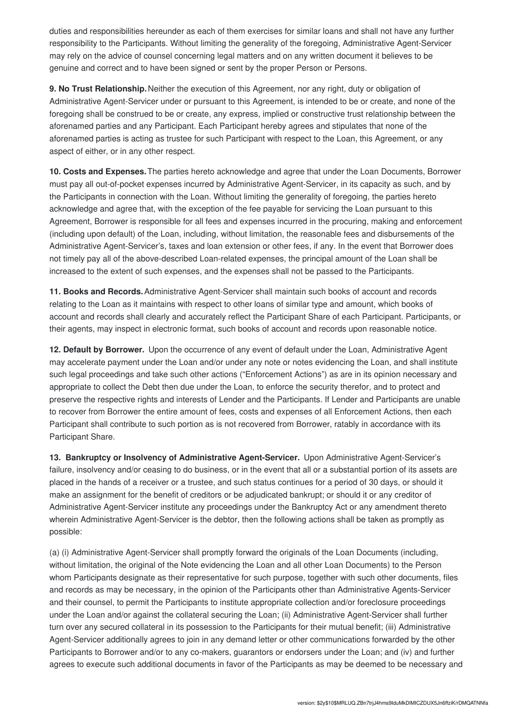duties and responsibilities hereunder as each of them exercises for similar loans and shall not have any further responsibility to the Participants. Without limiting the generality of the foregoing, Administrative Agent-Servicer may rely on the advice of counsel concerning legal matters and on any written document it believes to be genuine and correct and to have been signed or sent by the proper Person or Persons.

**9. No Trust Relationship.**Neither the execution of this Agreement, nor any right, duty or obligation of Administrative Agent-Servicer under or pursuant to this Agreement, is intended to be or create, and none of the foregoing shall be construed to be or create, any express, implied or constructive trust relationship between the aforenamed parties and any Participant. Each Participant hereby agrees and stipulates that none of the aforenamed parties is acting as trustee for such Participant with respect to the Loan, this Agreement, or any aspect of either, or in any other respect.

**10. Costs and Expenses.**The parties hereto acknowledge and agree that under the Loan Documents, Borrower must pay all out-of-pocket expenses incurred by Administrative Agent-Servicer, in its capacity as such, and by the Participants in connection with the Loan. Without limiting the generality of foregoing, the parties hereto acknowledge and agree that, with the exception of the fee payable for servicing the Loan pursuant to this Agreement, Borrower is responsible for all fees and expenses incurred in the procuring, making and enforcement (including upon default) of the Loan, including, without limitation, the reasonable fees and disbursements of the Administrative Agent-Servicer's, taxes and loan extension or other fees, if any. In the event that Borrower does not timely pay all of the above-described Loan-related expenses, the principal amount of the Loan shall be increased to the extent of such expenses, and the expenses shall not be passed to the Participants.

**11. Books and Records.**Administrative Agent-Servicer shall maintain such books of account and records relating to the Loan as it maintains with respect to other loans of similar type and amount, which books of account and records shall clearly and accurately reflect the Participant Share of each Participant. Participants, or their agents, may inspect in electronic format, such books of account and records upon reasonable notice.

**12. Default by Borrower.** Upon the occurrence of any event of default under the Loan, Administrative Agent may accelerate payment under the Loan and/or under any note or notes evidencing the Loan, and shall institute such legal proceedings and take such other actions ("Enforcement Actions") as are in its opinion necessary and appropriate to collect the Debt then due under the Loan, to enforce the security therefor, and to protect and preserve the respective rights and interests of Lender and the Participants. If Lender and Participants are unable to recover from Borrower the entire amount of fees, costs and expenses of all Enforcement Actions, then each Participant shall contribute to such portion as is not recovered from Borrower, ratably in accordance with its Participant Share.

**13. Bankruptcy or Insolvency of Administrative Agent-Servicer.** Upon Administrative Agent-Servicer's failure, insolvency and/or ceasing to do business, or in the event that all or a substantial portion of its assets are placed in the hands of a receiver or a trustee, and such status continues for a period of 30 days, or should it make an assignment for the benefit of creditors or be adjudicated bankrupt; or should it or any creditor of Administrative Agent-Servicer institute any proceedings under the Bankruptcy Act or any amendment thereto wherein Administrative Agent-Servicer is the debtor, then the following actions shall be taken as promptly as possible:

(a) (i) Administrative Agent-Servicer shall promptly forward the originals of the Loan Documents (including, without limitation, the original of the Note evidencing the Loan and all other Loan Documents) to the Person whom Participants designate as their representative for such purpose, together with such other documents, files and records as may be necessary, in the opinion of the Participants other than Administrative Agents-Servicer and their counsel, to permit the Participants to institute appropriate collection and/or foreclosure proceedings under the Loan and/or against the collateral securing the Loan; (ii) Administrative Agent-Servicer shall further turn over any secured collateral in its possession to the Participants for their mutual benefit; (iii) Administrative Agent-Servicer additionally agrees to join in any demand letter or other communications forwarded by the other Participants to Borrower and/or to any co-makers, guarantors or endorsers under the Loan; and (iv) and further agrees to execute such additional documents in favor of the Participants as may be deemed to be necessary and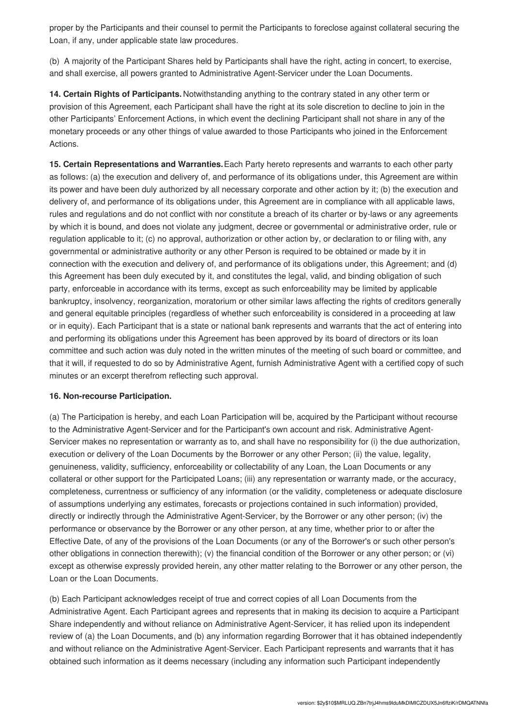proper by the Participants and their counsel to permit the Participants to foreclose against collateral securing the Loan, if any, under applicable state law procedures.

(b) A majority of the Participant Shares held by Participants shall have the right, acting in concert, to exercise, and shall exercise, all powers granted to Administrative Agent-Servicer under the Loan Documents.

**14. Certain Rights of Participants.** Notwithstanding anything to the contrary stated in any other term or provision of this Agreement, each Participant shall have the right at its sole discretion to decline to join in the other Participants' Enforcement Actions, in which event the declining Participant shall not share in any of the monetary proceeds or any other things of value awarded to those Participants who joined in the Enforcement Actions.

**15. Certain Representations and Warranties.**Each Party hereto represents and warrants to each other party as follows: (a) the execution and delivery of, and performance of its obligations under, this Agreement are within its power and have been duly authorized by all necessary corporate and other action by it; (b) the execution and delivery of, and performance of its obligations under, this Agreement are in compliance with all applicable laws, rules and regulations and do not conflict with nor constitute a breach of its charter or by-laws or any agreements by which it is bound, and does not violate any judgment, decree or governmental or administrative order, rule or regulation applicable to it; (c) no approval, authorization or other action by, or declaration to or filing with, any governmental or administrative authority or any other Person is required to be obtained or made by it in connection with the execution and delivery of, and performance of its obligations under, this Agreement; and (d) this Agreement has been duly executed by it, and constitutes the legal, valid, and binding obligation of such party, enforceable in accordance with its terms, except as such enforceability may be limited by applicable bankruptcy, insolvency, reorganization, moratorium or other similar laws affecting the rights of creditors generally and general equitable principles (regardless of whether such enforceability is considered in a proceeding at law or in equity). Each Participant that is a state or national bank represents and warrants that the act of entering into and performing its obligations under this Agreement has been approved by its board of directors or its loan committee and such action was duly noted in the written minutes of the meeting of such board or committee, and that it will, if requested to do so by Administrative Agent, furnish Administrative Agent with a certified copy of such minutes or an excerpt therefrom reflecting such approval.

#### **16. Non-recourse Participation.**

(a) The Participation is hereby, and each Loan Participation will be, acquired by the Participant without recourse to the Administrative Agent-Servicer and for the Participant's own account and risk. Administrative Agent-Servicer makes no representation or warranty as to, and shall have no responsibility for (i) the due authorization, execution or delivery of the Loan Documents by the Borrower or any other Person; (ii) the value, legality, genuineness, validity, sufficiency, enforceability or collectability of any Loan, the Loan Documents or any collateral or other support for the Participated Loans; (iii) any representation or warranty made, or the accuracy, completeness, currentness or sufficiency of any information (or the validity, completeness or adequate disclosure of assumptions underlying any estimates, forecasts or projections contained in such information) provided, directly or indirectly through the Administrative Agent-Servicer, by the Borrower or any other person; (iv) the performance or observance by the Borrower or any other person, at any time, whether prior to or after the Effective Date, of any of the provisions of the Loan Documents (or any of the Borrower's or such other person's other obligations in connection therewith); (v) the financial condition of the Borrower or any other person; or (vi) except as otherwise expressly provided herein, any other matter relating to the Borrower or any other person, the Loan or the Loan Documents.

(b) Each Participant acknowledges receipt of true and correct copies of all Loan Documents from the Administrative Agent. Each Participant agrees and represents that in making its decision to acquire a Participant Share independently and without reliance on Administrative Agent-Servicer, it has relied upon its independent review of (a) the Loan Documents, and (b) any information regarding Borrower that it has obtained independently and without reliance on the Administrative Agent-Servicer. Each Participant represents and warrants that it has obtained such information as it deems necessary (including any information such Participant independently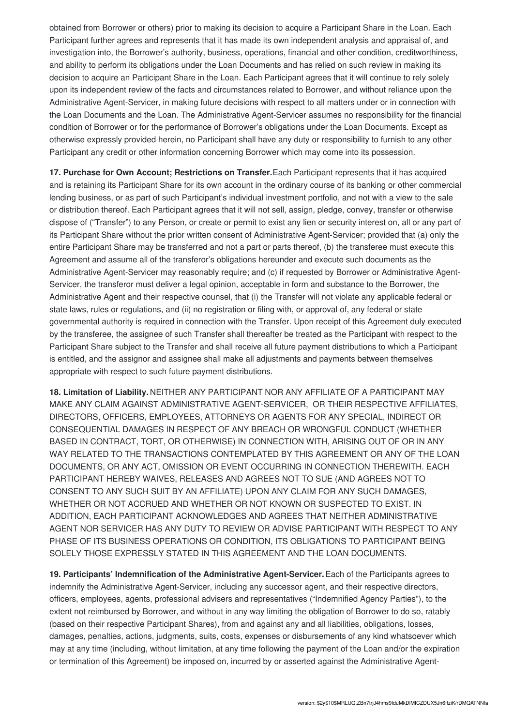obtained from Borrower or others) prior to making its decision to acquire a Participant Share in the Loan. Each Participant further agrees and represents that it has made its own independent analysis and appraisal of, and investigation into, the Borrower's authority, business, operations, financial and other condition, creditworthiness, and ability to perform its obligations under the Loan Documents and has relied on such review in making its decision to acquire an Participant Share in the Loan. Each Participant agrees that it will continue to rely solely upon its independent review of the facts and circumstances related to Borrower, and without reliance upon the Administrative Agent-Servicer, in making future decisions with respect to all matters under or in connection with the Loan Documents and the Loan. The Administrative Agent-Servicer assumes no responsibility for the financial condition of Borrower or for the performance of Borrower's obligations under the Loan Documents. Except as otherwise expressly provided herein, no Participant shall have any duty or responsibility to furnish to any other Participant any credit or other information concerning Borrower which may come into its possession.

**17. Purchase for Own Account; Restrictions on Transfer.**Each Participant represents that it has acquired and is retaining its Participant Share for its own account in the ordinary course of its banking or other commercial lending business, or as part of such Participant's individual investment portfolio, and not with a view to the sale or distribution thereof. Each Participant agrees that it will not sell, assign, pledge, convey, transfer or otherwise dispose of ("Transfer") to any Person, or create or permit to exist any lien or security interest on, all or any part of its Participant Share without the prior written consent of Administrative Agent-Servicer; provided that (a) only the entire Participant Share may be transferred and not a part or parts thereof, (b) the transferee must execute this Agreement and assume all of the transferor's obligations hereunder and execute such documents as the Administrative Agent-Servicer may reasonably require; and (c) if requested by Borrower or Administrative Agent-Servicer, the transferor must deliver a legal opinion, acceptable in form and substance to the Borrower, the Administrative Agent and their respective counsel, that (i) the Transfer will not violate any applicable federal or state laws, rules or regulations, and (ii) no registration or filing with, or approval of, any federal or state governmental authority is required in connection with the Transfer. Upon receipt of this Agreement duly executed by the transferee, the assignee of such Transfer shall thereafter be treated as the Participant with respect to the Participant Share subject to the Transfer and shall receive all future payment distributions to which a Participant is entitled, and the assignor and assignee shall make all adjustments and payments between themselves appropriate with respect to such future payment distributions.

**18. Limitation of Liability.** NEITHER ANY PARTICIPANT NOR ANY AFFILIATE OF A PARTICIPANT MAY MAKE ANY CLAIM AGAINST ADMINISTRATIVE AGENT-SERVICER, OR THEIR RESPECTIVE AFFILIATES, DIRECTORS, OFFICERS, EMPLOYEES, ATTORNEYS OR AGENTS FOR ANY SPECIAL, INDIRECT OR CONSEQUENTIAL DAMAGES IN RESPECT OF ANY BREACH OR WRONGFUL CONDUCT (WHETHER BASED IN CONTRACT, TORT, OR OTHERWISE) IN CONNECTION WITH, ARISING OUT OF OR IN ANY WAY RELATED TO THE TRANSACTIONS CONTEMPLATED BY THIS AGREEMENT OR ANY OF THE LOAN DOCUMENTS, OR ANY ACT, OMISSION OR EVENT OCCURRING IN CONNECTION THEREWITH. EACH PARTICIPANT HEREBY WAIVES, RELEASES AND AGREES NOT TO SUE (AND AGREES NOT TO CONSENT TO ANY SUCH SUIT BY AN AFFILIATE) UPON ANY CLAIM FOR ANY SUCH DAMAGES, WHETHER OR NOT ACCRUED AND WHETHER OR NOT KNOWN OR SUSPECTED TO EXIST. IN ADDITION, EACH PARTICIPANT ACKNOWLEDGES AND AGREES THAT NEITHER ADMINISTRATIVE AGENT NOR SERVICER HAS ANY DUTY TO REVIEW OR ADVISE PARTICIPANT WITH RESPECT TO ANY PHASE OF ITS BUSINESS OPERATIONS OR CONDITION, ITS OBLIGATIONS TO PARTICIPANT BEING SOLELY THOSE EXPRESSLY STATED IN THIS AGREEMENT AND THE LOAN DOCUMENTS.

**19. Participants' Indemnification of the Administrative Agent-Servicer.**Each of the Participants agrees to indemnify the Administrative Agent-Servicer, including any successor agent, and their respective directors, officers, employees, agents, professional advisers and representatives ("Indemnified Agency Parties"), to the extent not reimbursed by Borrower, and without in any way limiting the obligation of Borrower to do so, ratably (based on their respective Participant Shares), from and against any and all liabilities, obligations, losses, damages, penalties, actions, judgments, suits, costs, expenses or disbursements of any kind whatsoever which may at any time (including, without limitation, at any time following the payment of the Loan and/or the expiration or termination of this Agreement) be imposed on, incurred by or asserted against the Administrative Agent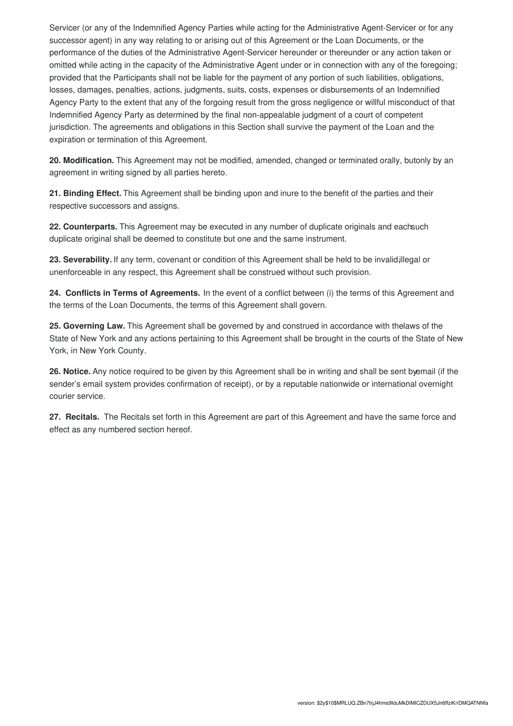Servicer (or any of the Indemnified Agency Parties while acting for the Administrative Agent-Servicer or for any successor agent) in any way relating to or arising out of this Agreement or the Loan Documents, or the performance of the duties of the Administrative Agent-Servicer hereunder or thereunder or any action taken or omitted while acting in the capacity of the Administrative Agent under or in connection with any of the foregoing; provided that the Participants shall not be liable for the payment of any portion of such liabilities, obligations, losses, damages, penalties, actions, judgments, suits, costs, expenses or disbursements of an Indemnified Agency Party to the extent that any of the forgoing result from the gross negligence or willful misconduct of that Indemnified Agency Party as determined by the final non-appealable judgment of a court of competent jurisdiction. The agreements and obligations in this Section shall survive the payment of the Loan and the expiration or termination of this Agreement.

**20. Modification.** This Agreement may not be modified, amended, changed or terminated orally, butonly by an agreement in writing signed by all parties hereto.

**21. Binding Effect.** This Agreement shall be binding upon and inure to the benefit of the parties and their respective successors and assigns.

**22. Counterparts.** This Agreement may be executed in any number of duplicate originals and eachsuch duplicate original shall be deemed to constitute but one and the same instrument.

**23. Severability.** If any term, covenant or condition of this Agreement shall be held to be invalid,illegal or unenforceable in any respect, this Agreement shall be construed without such provision.

**24. Conflicts in Terms of Agreements.** In the event of a conflict between (i) the terms of this Agreement and the terms of the Loan Documents, the terms of this Agreement shall govern.

**25. Governing Law.** This Agreement shall be governed by and construed in accordance with thelaws of the State of New York and any actions pertaining to this Agreement shall be brought in the courts of the State of New York, in New York County.

**26. Notice.** Any notice required to be given by this Agreement shall be in writing and shall be sent byemail (if the sender's email system provides confirmation of receipt), or by a reputable nationwide or international overnight courier service.

**27. Recitals.** The Recitals set forth in this Agreement are part of this Agreement and have the same force and effect as any numbered section hereof.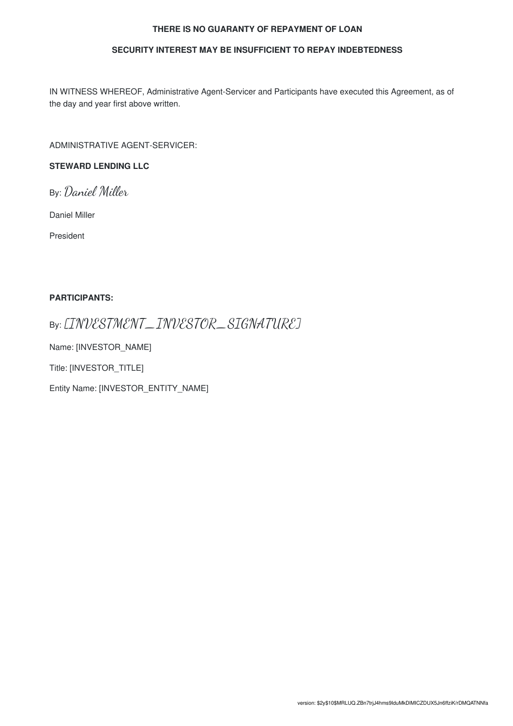#### **THERE IS NO GUARANTY OF REPAYMENT OF LOAN**

#### **SECURITY INTEREST MAY BE INSUFFICIENT TO REPAY INDEBTEDNESS**

IN WITNESS WHEREOF, Administrative Agent-Servicer and Participants have executed this Agreement, as of the day and year first above written.

ADMINISTRATIVE AGENT-SERVICER:

#### **STEWARD LENDING LLC**

By: Daniel Miller

Daniel Miller

President

#### **PARTICIPANTS:**

### By: [INVESTMENT\_INVESTOR\_SIGNATURE]

Name: [INVESTOR\_NAME]

Title: [INVESTOR\_TITLE]

Entity Name: [INVESTOR\_ENTITY\_NAME]